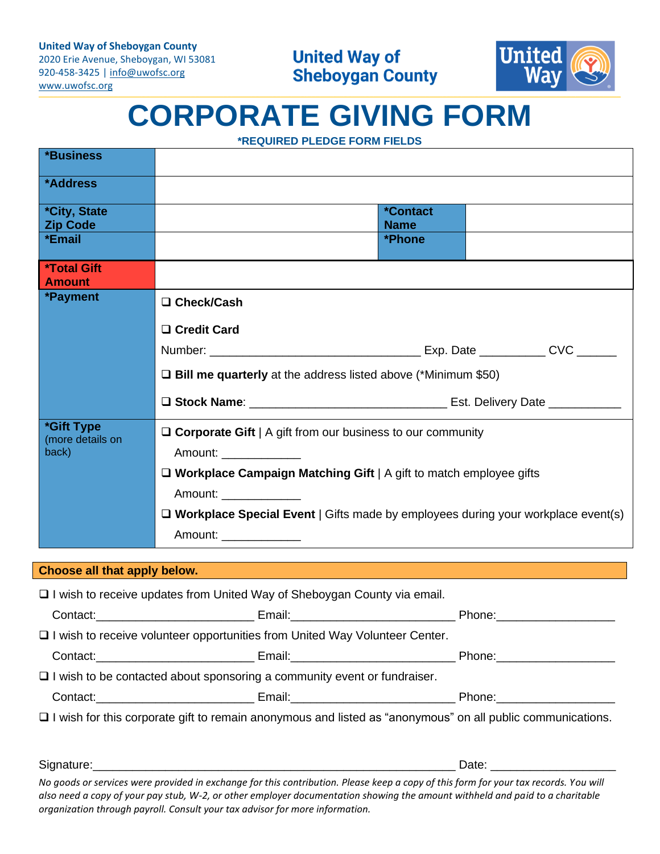2020 Erie Avenue, Sheboygan, WI 53081 920-458-3425 | [info@uwofsc.org](mailto:info@uwofsc.org) [www.uwofsc.org](http://www.uwofsc.org/)



# **CORPORATE GIVING FORM**

**\*REQUIRED PLEDGE FORM FIELDS**

| <b>*Business</b>                              |                                                                                                                                                                                                                                |                                       |  |  |  |
|-----------------------------------------------|--------------------------------------------------------------------------------------------------------------------------------------------------------------------------------------------------------------------------------|---------------------------------------|--|--|--|
| *Address                                      |                                                                                                                                                                                                                                |                                       |  |  |  |
| <i><b>*City, State</b></i><br><b>Zip Code</b> |                                                                                                                                                                                                                                | <i><b>*Contact</b></i><br><b>Name</b> |  |  |  |
| *Email                                        |                                                                                                                                                                                                                                | *Phone                                |  |  |  |
| <b>*Total Gift</b><br><b>Amount</b>           |                                                                                                                                                                                                                                |                                       |  |  |  |
| *Payment                                      | □ Check/Cash                                                                                                                                                                                                                   |                                       |  |  |  |
|                                               | □ Credit Card                                                                                                                                                                                                                  |                                       |  |  |  |
|                                               |                                                                                                                                                                                                                                |                                       |  |  |  |
|                                               | $\Box$ Bill me quarterly at the address listed above (*Minimum \$50)                                                                                                                                                           |                                       |  |  |  |
|                                               |                                                                                                                                                                                                                                |                                       |  |  |  |
| *Gift Type<br>(more details on                | $\Box$ Corporate Gift   A gift from our business to our community                                                                                                                                                              |                                       |  |  |  |
| back)                                         | Amount: Amount: Amount: Amount: Amount: Amount: Amount: Amount: Amount: Amount: Amount: Amount: Amount: Amount: Amount: Amount: Amount: Amount: Amount: Amount: Amount: Amount: Amount: Amount: Amount: Amount: Amount: Amount |                                       |  |  |  |
|                                               | □ Workplace Campaign Matching Gift   A gift to match employee gifts                                                                                                                                                            |                                       |  |  |  |
|                                               | Amount: ______________                                                                                                                                                                                                         |                                       |  |  |  |
|                                               | $\Box$ Workplace Special Event   Gifts made by employees during your workplace event(s)                                                                                                                                        |                                       |  |  |  |
|                                               | Amount: ______________                                                                                                                                                                                                         |                                       |  |  |  |

## **Choose all that apply below.**

| $\Box$ I wish to receive updates from United Way of Sheboygan County via email.                                                                                                                                                |  |  |  |  |
|--------------------------------------------------------------------------------------------------------------------------------------------------------------------------------------------------------------------------------|--|--|--|--|
|                                                                                                                                                                                                                                |  |  |  |  |
| $\Box$ I wish to receive volunteer opportunities from United Way Volunteer Center.                                                                                                                                             |  |  |  |  |
| Contact: Phone: Phone: Phone: Phone: Phone: Phone: Phone: Phone: Phone: Phone: Phone: Phone: Phone: Phone: Phone: Phone: Phone: Phone: Phone: Phone: Phone: Phone: Phone: Phone: Phone: Phone: Phone: Phone: Phone: Phone: Pho |  |  |  |  |
| $\Box$ I wish to be contacted about sponsoring a community event or fundraiser.                                                                                                                                                |  |  |  |  |
|                                                                                                                                                                                                                                |  |  |  |  |
| □ I wish for this corporate gift to remain anonymous and listed as "anonymous" on all public communications.                                                                                                                   |  |  |  |  |
|                                                                                                                                                                                                                                |  |  |  |  |

*No goods or services were provided in exchange for this contribution. Please keep a copy of this form for your tax records. You will also need a copy of your pay stub, W-2, or other employer documentation showing the amount withheld and paid to a charitable organization through payroll. Consult your tax advisor for more information.*

Signature:\_\_\_\_\_\_\_\_\_\_\_\_\_\_\_\_\_\_\_\_\_\_\_\_\_\_\_\_\_\_\_\_\_\_\_\_\_\_\_\_\_\_\_\_\_\_\_\_\_\_\_\_\_\_\_ Date: \_\_\_\_\_\_\_\_\_\_\_\_\_\_\_\_\_\_\_